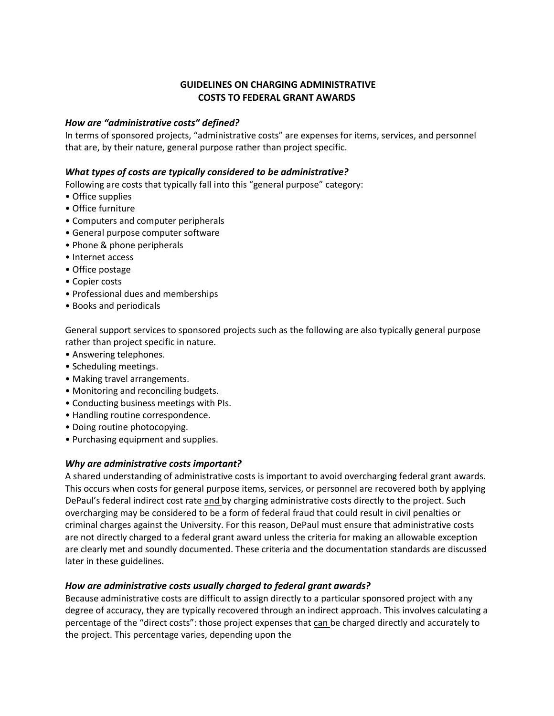# **GUIDELINES ON CHARGING ADMINISTRATIVE COSTS TO FEDERAL GRANT AWARDS**

### *How are "administrative costs" defined?*

In terms of sponsored projects, "administrative costs" are expenses for items, services, and personnel that are, by their nature, general purpose rather than project specific.

## *What types of costs are typically considered to be administrative?*

Following are costs that typically fall into this "general purpose" category:

- Office supplies
- Office furniture
- Computers and computer peripherals
- General purpose computer software
- Phone & phone peripherals
- Internet access
- Office postage
- Copier costs
- Professional dues and memberships
- Books and periodicals

General support services to sponsored projects such as the following are also typically general purpose rather than project specific in nature.

- Answering telephones.
- Scheduling meetings.
- Making travel arrangements.
- Monitoring and reconciling budgets.
- Conducting business meetings with PIs.
- Handling routine correspondence.
- Doing routine photocopying.
- Purchasing equipment and supplies.

### *Why are administrative costs important?*

A shared understanding of administrative costs is important to avoid overcharging federal grant awards. This occurs when costs for general purpose items, services, or personnel are recovered both by applying DePaul's federal indirect cost rate and by charging administrative costs directly to the project. Such overcharging may be considered to be a form of federal fraud that could result in civil penalties or criminal charges against the University. For this reason, DePaul must ensure that administrative costs are not directly charged to a federal grant award unless the criteria for making an allowable exception are clearly met and soundly documented. These criteria and the documentation standards are discussed later in these guidelines.

## *How are administrative costs usually charged to federal grant awards?*

Because administrative costs are difficult to assign directly to a particular sponsored project with any degree of accuracy, they are typically recovered through an indirect approach. This involves calculating a percentage of the "direct costs": those project expenses that can be charged directly and accurately to the project. This percentage varies, depending upon the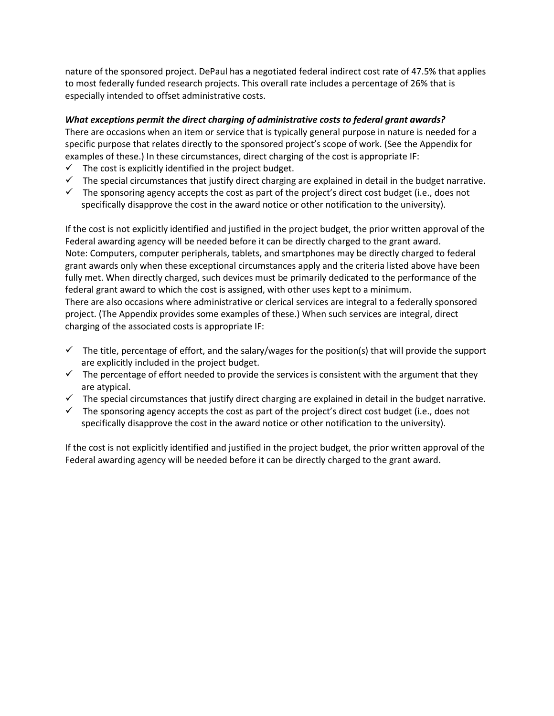nature of the sponsored project. DePaul has a negotiated federal indirect cost rate of 47.5% that applies to most federally funded research projects. This overall rate includes a percentage of 26% that is especially intended to offset administrative costs.

## *What exceptions permit the direct charging of administrative costs to federal grant awards?*

There are occasions when an item or service that is typically general purpose in nature is needed for a specific purpose that relates directly to the sponsored project's scope of work. (See the Appendix for examples of these.) In these circumstances, direct charging of the cost is appropriate IF:

- $\checkmark$  The cost is explicitly identified in the project budget.
- ✓ The special circumstances that justify direct charging are explained in detail in the budget narrative.
- $\checkmark$  The sponsoring agency accepts the cost as part of the project's direct cost budget (i.e., does not specifically disapprove the cost in the award notice or other notification to the university).

If the cost is not explicitly identified and justified in the project budget, the prior written approval of the Federal awarding agency will be needed before it can be directly charged to the grant award. Note: Computers, computer peripherals, tablets, and smartphones may be directly charged to federal grant awards only when these exceptional circumstances apply and the criteria listed above have been fully met. When directly charged, such devices must be primarily dedicated to the performance of the federal grant award to which the cost is assigned, with other uses kept to a minimum. There are also occasions where administrative or clerical services are integral to a federally sponsored project. (The Appendix provides some examples of these.) When such services are integral, direct charging of the associated costs is appropriate IF:

- $\checkmark$  The title, percentage of effort, and the salary/wages for the position(s) that will provide the support are explicitly included in the project budget.
- $\checkmark$  The percentage of effort needed to provide the services is consistent with the argument that they are atypical.
- ✓ The special circumstances that justify direct charging are explained in detail in the budget narrative.
- $\checkmark$  The sponsoring agency accepts the cost as part of the project's direct cost budget (i.e., does not specifically disapprove the cost in the award notice or other notification to the university).

If the cost is not explicitly identified and justified in the project budget, the prior written approval of the Federal awarding agency will be needed before it can be directly charged to the grant award.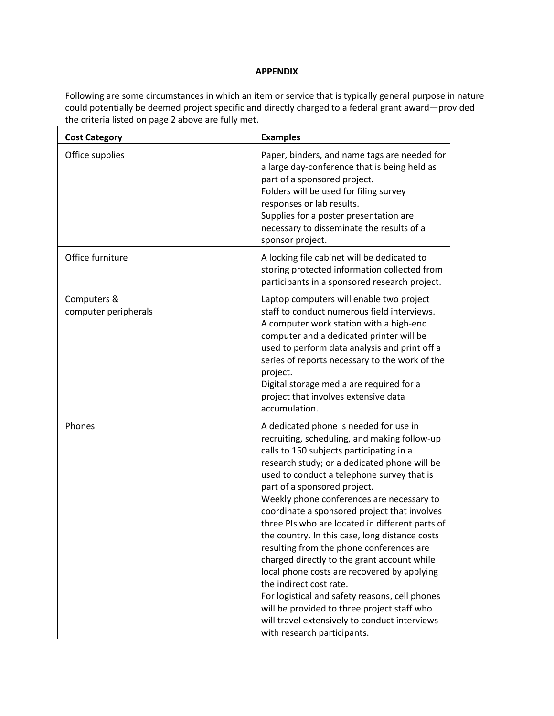### **APPENDIX**

Following are some circumstances in which an item or service that is typically general purpose in nature could potentially be deemed project specific and directly charged to a federal grant award—provided the criteria listed on page 2 above are fully met.

| <b>Cost Category</b>                | <b>Examples</b>                                                                                                                                                                                                                                                                                                                                                                                                                                                                                                                                                                                                                                                                                                                                                                                                          |
|-------------------------------------|--------------------------------------------------------------------------------------------------------------------------------------------------------------------------------------------------------------------------------------------------------------------------------------------------------------------------------------------------------------------------------------------------------------------------------------------------------------------------------------------------------------------------------------------------------------------------------------------------------------------------------------------------------------------------------------------------------------------------------------------------------------------------------------------------------------------------|
| Office supplies                     | Paper, binders, and name tags are needed for<br>a large day-conference that is being held as<br>part of a sponsored project.<br>Folders will be used for filing survey<br>responses or lab results.<br>Supplies for a poster presentation are<br>necessary to disseminate the results of a<br>sponsor project.                                                                                                                                                                                                                                                                                                                                                                                                                                                                                                           |
| Office furniture                    | A locking file cabinet will be dedicated to<br>storing protected information collected from<br>participants in a sponsored research project.                                                                                                                                                                                                                                                                                                                                                                                                                                                                                                                                                                                                                                                                             |
| Computers &<br>computer peripherals | Laptop computers will enable two project<br>staff to conduct numerous field interviews.<br>A computer work station with a high-end<br>computer and a dedicated printer will be<br>used to perform data analysis and print off a<br>series of reports necessary to the work of the<br>project.<br>Digital storage media are required for a<br>project that involves extensive data<br>accumulation.                                                                                                                                                                                                                                                                                                                                                                                                                       |
| Phones                              | A dedicated phone is needed for use in<br>recruiting, scheduling, and making follow-up<br>calls to 150 subjects participating in a<br>research study; or a dedicated phone will be<br>used to conduct a telephone survey that is<br>part of a sponsored project.<br>Weekly phone conferences are necessary to<br>coordinate a sponsored project that involves<br>three PIs who are located in different parts of<br>the country. In this case, long distance costs<br>resulting from the phone conferences are<br>charged directly to the grant account while<br>local phone costs are recovered by applying<br>the indirect cost rate.<br>For logistical and safety reasons, cell phones<br>will be provided to three project staff who<br>will travel extensively to conduct interviews<br>with research participants. |